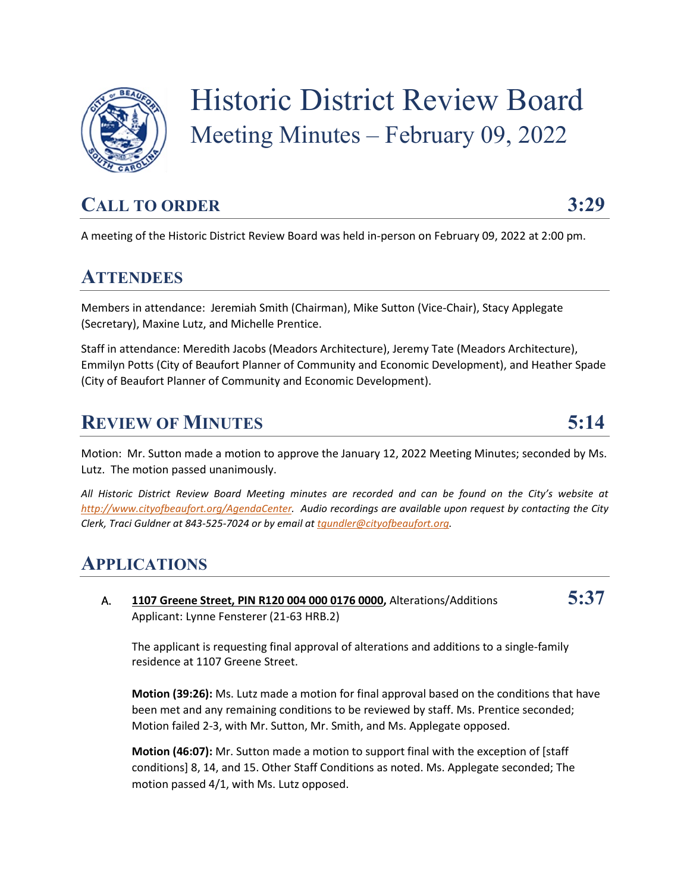

# Historic District Review Board Meeting Minutes – February 09, 2022

## **CALL TO ORDER 3:29**

A meeting of the Historic District Review Board was held in-person on February 09, 2022 at 2:00 pm.

#### **ATTENDEES**

Members in attendance: Jeremiah Smith (Chairman), Mike Sutton (Vice-Chair), Stacy Applegate (Secretary), Maxine Lutz, and Michelle Prentice.

Staff in attendance: Meredith Jacobs (Meadors Architecture), Jeremy Tate (Meadors Architecture), Emmilyn Potts (City of Beaufort Planner of Community and Economic Development), and Heather Spade (City of Beaufort Planner of Community and Economic Development).

### **REVIEW OF MINUTES 5:14**

Motion: Mr. Sutton made a motion to approve the January 12, 2022 Meeting Minutes; seconded by Ms. Lutz. The motion passed unanimously.

*All Historic District Review Board Meeting minutes are recorded and can be found on the City's website at [http://www.cityofbeaufort.org/AgendaCenter.](http://www.cityofbeaufort.org/AgendaCenter) Audio recordings are available upon request by contacting the City Clerk, Traci Guldner at 843-525-7024 or by email a[t tgundler@cityofbeaufort.org.](mailto:tgundler@cityofbeaufort.org)*

### **APPLICATIONS**

A. **1107 Greene Street, PIN R120 004 000 0176 0000,** Alterations/Additions **5:37** Applicant: Lynne Fensterer (21-63 HRB.2)

The applicant is requesting final approval of alterations and additions to a single-family residence at 1107 Greene Street.

**Motion (39:26):** Ms. Lutz made a motion for final approval based on the conditions that have been met and any remaining conditions to be reviewed by staff. Ms. Prentice seconded; Motion failed 2-3, with Mr. Sutton, Mr. Smith, and Ms. Applegate opposed.

**Motion (46:07):** Mr. Sutton made a motion to support final with the exception of [staff] conditions] 8, 14, and 15. Other Staff Conditions as noted. Ms. Applegate seconded; The motion passed 4/1, with Ms. Lutz opposed.